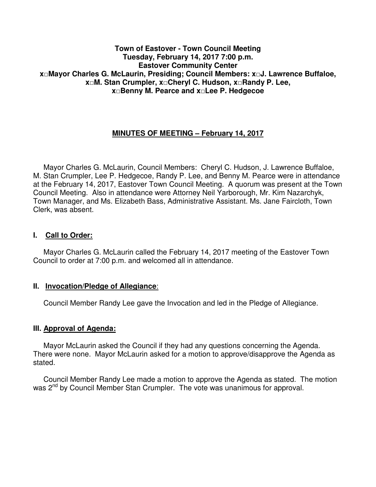#### **Town of Eastover - Town Council Meeting Tuesday, February 14, 2017 7:00 p.m. Eastover Community Center x□Mayor Charles G. McLaurin, Presiding; Council Members: x□J. Lawrence Buffaloe, x□M. Stan Crumpler, x□Cheryl C. Hudson, x□Randy P. Lee, x□Benny M. Pearce and x□Lee P. Hedgecoe**

# **MINUTES OF MEETING – February 14, 2017**

 Mayor Charles G. McLaurin, Council Members: Cheryl C. Hudson, J. Lawrence Buffaloe, M. Stan Crumpler, Lee P. Hedgecoe, Randy P. Lee, and Benny M. Pearce were in attendance at the February 14, 2017, Eastover Town Council Meeting. A quorum was present at the Town Council Meeting. Also in attendance were Attorney Neil Yarborough, Mr. Kim Nazarchyk, Town Manager, and Ms. Elizabeth Bass, Administrative Assistant. Ms. Jane Faircloth, Town Clerk, was absent.

#### **I. Call to Order:**

 Mayor Charles G. McLaurin called the February 14, 2017 meeting of the Eastover Town Council to order at 7:00 p.m. and welcomed all in attendance.

#### **II. Invocation/Pledge of Allegiance**:

Council Member Randy Lee gave the Invocation and led in the Pledge of Allegiance.

#### **III. Approval of Agenda:**

 Mayor McLaurin asked the Council if they had any questions concerning the Agenda. There were none. Mayor McLaurin asked for a motion to approve/disapprove the Agenda as stated.

 Council Member Randy Lee made a motion to approve the Agenda as stated. The motion was 2<sup>nd</sup> by Council Member Stan Crumpler. The vote was unanimous for approval.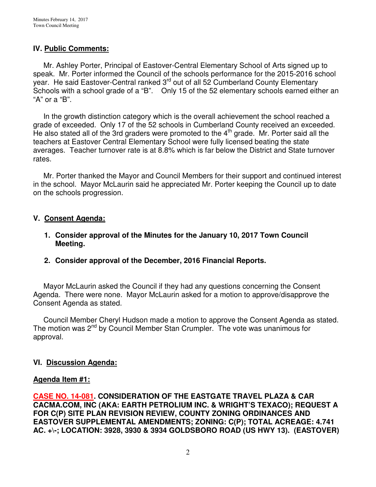## **IV. Public Comments:**

 Mr. Ashley Porter, Principal of Eastover-Central Elementary School of Arts signed up to speak. Mr. Porter informed the Council of the schools performance for the 2015-2016 school year. He said Eastover-Central ranked 3<sup>rd</sup> out of all 52 Cumberland County Elementary Schools with a school grade of a "B". Only 15 of the 52 elementary schools earned either an "A" or a "B".

 In the growth distinction category which is the overall achievement the school reached a grade of exceeded. Only 17 of the 52 schools in Cumberland County received an exceeded. He also stated all of the 3rd graders were promoted to the  $4<sup>th</sup>$  grade. Mr. Porter said all the teachers at Eastover Central Elementary School were fully licensed beating the state averages. Teacher turnover rate is at 8.8% which is far below the District and State turnover rates.

 Mr. Porter thanked the Mayor and Council Members for their support and continued interest in the school. Mayor McLaurin said he appreciated Mr. Porter keeping the Council up to date on the schools progression.

#### **V. Consent Agenda:**

- **1. Consider approval of the Minutes for the January 10, 2017 Town Council Meeting.**
- **2. Consider approval of the December, 2016 Financial Reports.**

 Mayor McLaurin asked the Council if they had any questions concerning the Consent Agenda. There were none. Mayor McLaurin asked for a motion to approve/disapprove the Consent Agenda as stated.

 Council Member Cheryl Hudson made a motion to approve the Consent Agenda as stated. The motion was 2<sup>nd</sup> by Council Member Stan Crumpler. The vote was unanimous for approval.

## **VI. Discussion Agenda:**

#### **Agenda Item #1:**

**CASE NO. 14-081. CONSIDERATION OF THE EASTGATE TRAVEL PLAZA & CAR CACMA.COM, INC (AKA: EARTH PETROLIUM INC. & WRIGHT'S TEXACO); REQUEST A FOR C(P) SITE PLAN REVISION REVIEW, COUNTY ZONING ORDINANCES AND EASTOVER SUPPLEMENTAL AMENDMENTS; ZONING: C(P); TOTAL ACREAGE: 4.741 AC. +\-; LOCATION: 3928, 3930 & 3934 GOLDSBORO ROAD (US HWY 13). (EASTOVER)**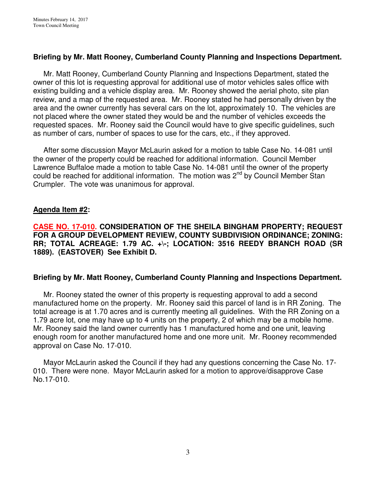## **Briefing by Mr. Matt Rooney, Cumberland County Planning and Inspections Department.**

Mr. Matt Rooney, Cumberland County Planning and Inspections Department, stated the owner of this lot is requesting approval for additional use of motor vehicles sales office with existing building and a vehicle display area. Mr. Rooney showed the aerial photo, site plan review, and a map of the requested area. Mr. Rooney stated he had personally driven by the area and the owner currently has several cars on the lot, approximately 10. The vehicles are not placed where the owner stated they would be and the number of vehicles exceeds the requested spaces. Mr. Rooney said the Council would have to give specific guidelines, such as number of cars, number of spaces to use for the cars, etc., if they approved.

 After some discussion Mayor McLaurin asked for a motion to table Case No. 14-081 until the owner of the property could be reached for additional information. Council Member Lawrence Buffaloe made a motion to table Case No. 14-081 until the owner of the property could be reached for additional information. The motion was 2<sup>nd</sup> by Council Member Stan Crumpler. The vote was unanimous for approval.

#### **Agenda Item #2:**

**CASE NO. 17-010. CONSIDERATION OF THE SHEILA BINGHAM PROPERTY; REQUEST FOR A GROUP DEVELOPMENT REVIEW, COUNTY SUBDIVISION ORDINANCE; ZONING: RR; TOTAL ACREAGE: 1.79 AC. +\-; LOCATION: 3516 REEDY BRANCH ROAD (SR 1889). (EASTOVER) See Exhibit D.**

#### **Briefing by Mr. Matt Rooney, Cumberland County Planning and Inspections Department.**

 Mr. Rooney stated the owner of this property is requesting approval to add a second manufactured home on the property. Mr. Rooney said this parcel of land is in RR Zoning. The total acreage is at 1.70 acres and is currently meeting all guidelines. With the RR Zoning on a 1.79 acre lot, one may have up to 4 units on the property, 2 of which may be a mobile home. Mr. Rooney said the land owner currently has 1 manufactured home and one unit, leaving enough room for another manufactured home and one more unit. Mr. Rooney recommended approval on Case No. 17-010.

 Mayor McLaurin asked the Council if they had any questions concerning the Case No. 17- 010. There were none. Mayor McLaurin asked for a motion to approve/disapprove Case No.17-010.